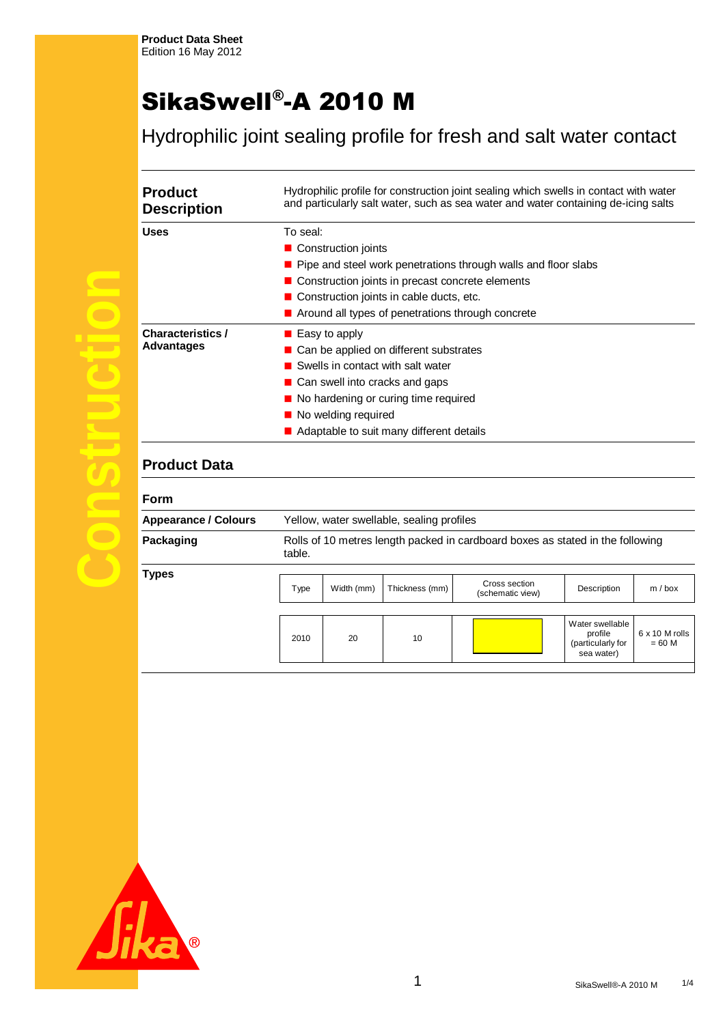# SikaSwell®-A 2010 M

Hydrophilic joint sealing profile for fresh and salt water contact

| <b>Product</b><br><b>Description</b>   | Hydrophilic profile for construction joint sealing which swells in contact with water<br>and particularly salt water, such as sea water and water containing de-icing salts                                                                                                                             |
|----------------------------------------|---------------------------------------------------------------------------------------------------------------------------------------------------------------------------------------------------------------------------------------------------------------------------------------------------------|
| Uses                                   | To seal:<br>■ Construction joints<br>$\blacksquare$ Pipe and steel work penetrations through walls and floor slabs                                                                                                                                                                                      |
|                                        | ■ Construction joints in precast concrete elements<br>■ Construction joints in cable ducts, etc.<br>Around all types of penetrations through concrete                                                                                                                                                   |
| <b>Characteristics /</b><br>Advantages | $\blacksquare$ Easy to apply<br>$\blacksquare$ Can be applied on different substrates<br>Swells in contact with salt water<br>$\blacksquare$ Can swell into cracks and gaps<br>No hardening or curing time required<br>■ No welding required<br>$\blacksquare$ Adaptable to suit many different details |

## **Product Data**

| <b>Form</b>                 |                                                                                          |            |                |                                   |                                                               |                                   |
|-----------------------------|------------------------------------------------------------------------------------------|------------|----------------|-----------------------------------|---------------------------------------------------------------|-----------------------------------|
| <b>Appearance / Colours</b> | Yellow, water swellable, sealing profiles                                                |            |                |                                   |                                                               |                                   |
| Packaging                   | Rolls of 10 metres length packed in cardboard boxes as stated in the following<br>table. |            |                |                                   |                                                               |                                   |
| Types                       |                                                                                          |            |                |                                   |                                                               |                                   |
|                             | Type                                                                                     | Width (mm) | Thickness (mm) | Cross section<br>(schematic view) | Description                                                   | $m/b$ ox                          |
|                             |                                                                                          |            |                |                                   |                                                               |                                   |
|                             | 2010                                                                                     | 20         | 10             |                                   | Water swellable<br>profile<br>(particularly for<br>sea water) | $6 \times 10$ M rolls<br>$= 60 M$ |
|                             |                                                                                          |            |                |                                   |                                                               |                                   |

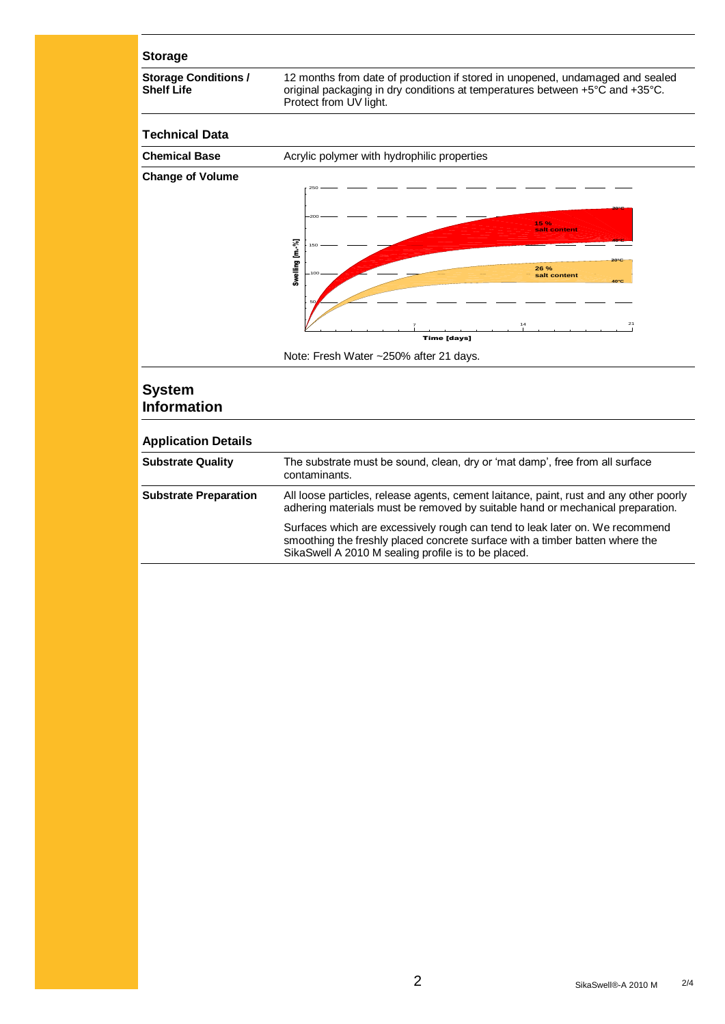#### **Storage**

**Storage Conditions / Shelf Life**

12 months from date of production if stored in unopened, undamaged and sealed original packaging in dry conditions at temperatures between +5°C and +35°C. Protect from UV light.

#### **Technical Data**



### **System Information**

| <b>Application Details</b>   |                                                                                                                                                                                                                     |
|------------------------------|---------------------------------------------------------------------------------------------------------------------------------------------------------------------------------------------------------------------|
| <b>Substrate Quality</b>     | The substrate must be sound, clean, dry or 'mat damp', free from all surface<br>contaminants.                                                                                                                       |
| <b>Substrate Preparation</b> | All loose particles, release agents, cement laitance, paint, rust and any other poorly<br>adhering materials must be removed by suitable hand or mechanical preparation.                                            |
|                              | Surfaces which are excessively rough can tend to leak later on. We recommend<br>smoothing the freshly placed concrete surface with a timber batten where the<br>SikaSwell A 2010 M sealing profile is to be placed. |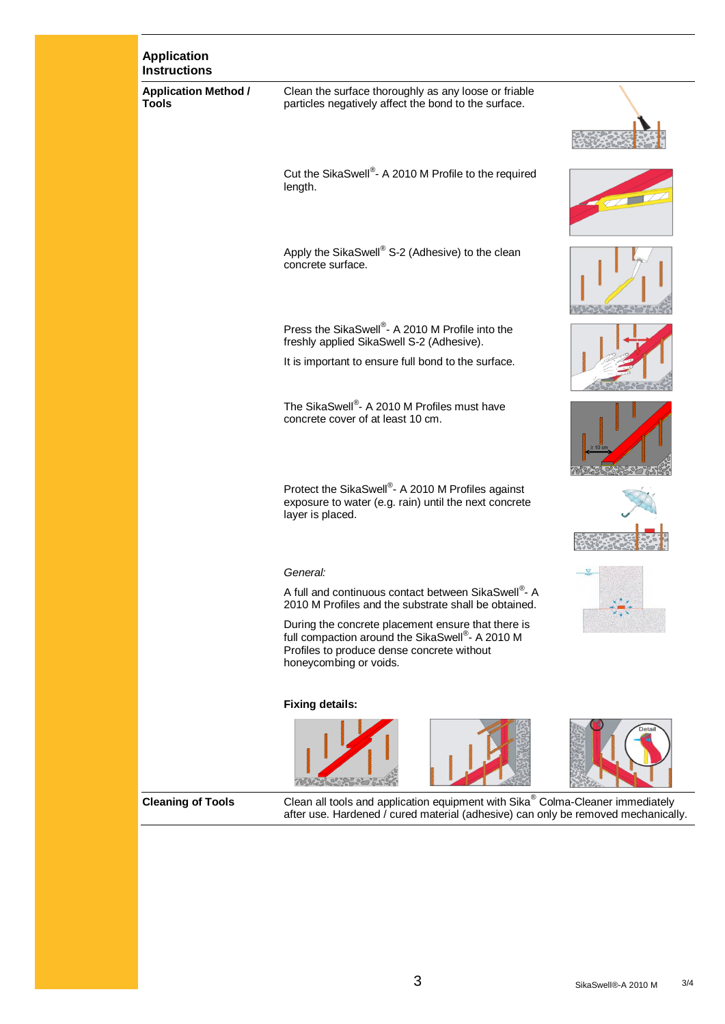| <b>Application</b><br><b>Instructions</b>   |                                                                                                                                                                               |  |
|---------------------------------------------|-------------------------------------------------------------------------------------------------------------------------------------------------------------------------------|--|
| <b>Application Method /</b><br><b>Tools</b> | Clean the surface thoroughly as any loose or friable<br>particles negatively affect the bond to the surface.                                                                  |  |
|                                             | Cut the SikaSwell®- A 2010 M Profile to the required<br>length.                                                                                                               |  |
|                                             | Apply the SikaSwell® S-2 (Adhesive) to the clean<br>concrete surface.                                                                                                         |  |
|                                             | Press the SikaSwell®- A 2010 M Profile into the<br>freshly applied SikaSwell S-2 (Adhesive).                                                                                  |  |
|                                             | It is important to ensure full bond to the surface.                                                                                                                           |  |
|                                             | The SikaSwell®- A 2010 M Profiles must have<br>concrete cover of at least 10 cm.                                                                                              |  |
|                                             | Protect the SikaSwell <sup>®</sup> - A 2010 M Profiles against<br>exposure to water (e.g. rain) until the next concrete<br>layer is placed.                                   |  |
|                                             |                                                                                                                                                                               |  |
|                                             | General:                                                                                                                                                                      |  |
|                                             | A full and continuous contact between SikaSwell®- A<br>2010 M Profiles and the substrate shall be obtained.                                                                   |  |
|                                             | During the concrete placement ensure that there is<br>full compaction around the SikaSwell®- A 2010 M<br>Profiles to produce dense concrete without<br>honeycombing or voids. |  |
|                                             | <b>Fixing details:</b>                                                                                                                                                        |  |
|                                             |                                                                                                                                                                               |  |
| <b>Cleaning of Tools</b>                    | Clean all tools and application equipment with Sika® Colma-Cleaner immediately<br>after use. Hardened / cured material (adhesive) can only be removed mechanically.           |  |